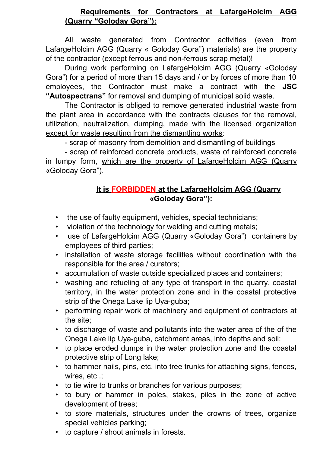## **Requirements for Contractors at LafargeHolcim AGG (Quarry "Goloday Gora"):**

All waste generated from Contractor activities (even from LafargeHolcim AGG (Quarry « Goloday Gora") materials) are the property of the contractor (except ferrous and non-ferrous scrap metal)!

During work performing on LafargeHolcim AGG (Quarry «Goloday Gora") for a period of more than 15 days and / or by forces of more than 10 employees, the Contractor must make a contract with the **JSC "Autospectrans"** for removal and dumping of municipal solid waste.

The Contractor is obliged to remove generated industrial waste from the plant area in accordance with the contracts clauses for the removal, utilization, neutralization, dumping, made with the licensed organization except for waste resulting from the dismantling works:

- scrap of masonry from demolition and dismantling of buildings

- scrap of reinforced concrete products, waste of reinforced concrete in lumpy form, which are the property of LafargeHolcim AGG (Quarry «Goloday Gora").

## **It is FORBIDDEN at the LafargeHolcim AGG (Quarry «Goloday Gora"):**

- the use of faulty equipment, vehicles, special technicians;
- violation of the technology for welding and cutting metals;
- use of LafargeHolcim AGG (Quarry «Goloday Gora") containers by employees of third parties;
- installation of waste storage facilities without coordination with the responsible for the area / curators;
- accumulation of waste outside specialized places and containers;
- washing and refueling of any type of transport in the quarry, coastal territory, in the water protection zone and in the coastal protective strip of the Onega Lake lip Uya-guba;
- performing repair work of machinery and equipment of contractors at the site;
- to discharge of waste and pollutants into the water area of the of the Onega Lake lip Uya-guba, catchment areas, into depths and soil;
- to place eroded dumps in the water protection zone and the coastal protective strip of Long lake;
- to hammer nails, pins, etc. into tree trunks for attaching signs, fences, wires, etc .;
- to tie wire to trunks or branches for various purposes;
- to bury or hammer in poles, stakes, piles in the zone of active development of trees;
- to store materials, structures under the crowns of trees, organize special vehicles parking;
- to capture / shoot animals in forests.